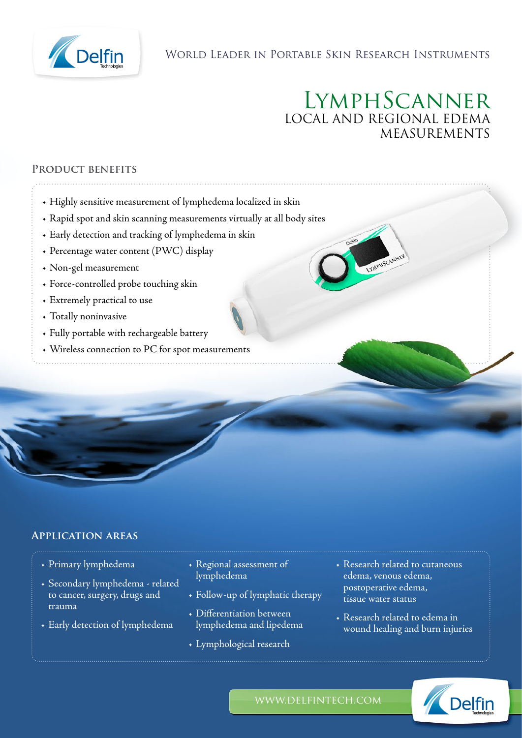

## World Leader in Portable Skin Research Instruments

# LymphScanner LOCAL AND REGIONAL EDEMA MEASUREMENTS

**WARHSCANNER** 

## **Product benefits**

- Highly sensitive measurement of lymphedema localized in skin
- Rapid spot and skin scanning measurements virtually at all body sites
- Early detection and tracking of lymphedema in skin
- Percentage water content (PWC) display
- Non-gel measurement
- Force-controlled probe touching skin
- Extremely practical to use
- Totally noninvasive
- Fully portable with rechargeable battery
- Wireless connection to PC for spot measurements

## **Application areas**

- Primary lymphedema
- Secondary lymphedema related to cancer, surgery, drugs and trauma
- Early detection of lymphedema
- Regional assessment of lymphedema
- Follow-up of lymphatic therapy
- Differentiation between lymphedema and lipedema
- Lymphological research
- Research related to cutaneous edema, venous edema, postoperative edema, tissue water status
- Research related to edema in wound healing and burn injuries



www.delfintech.com